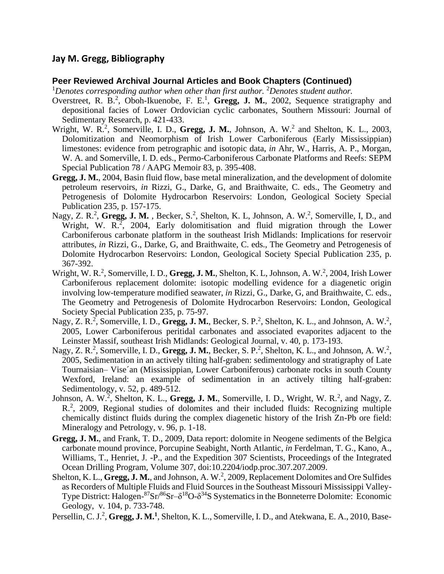# **Jay M. Gregg, Bibliography**

#### **Peer Reviewed Archival Journal Articles and Book Chapters (Continued)**

<sup>1</sup>Denotes corresponding author when other than first author. <sup>2</sup>Denotes student author.

- Overstreet, R. B.<sup>2</sup>, Oboh-Ikuenobe, F. E.<sup>1</sup>, Gregg, J. M., 2002, Sequence stratigraphy and depositional facies of Lower Ordovician cyclic carbonates, Southern Missouri: Journal of Sedimentary Research, p. 421-433.
- Wright, W. R.<sup>2</sup>, Somerville, I. D., Gregg, J. M., Johnson, A. W.<sup>2</sup> and Shelton, K. L., 2003, Dolomitization and Neomorphism of Irish Lower Carboniferous (Early Mississippian) limestones: evidence from petrographic and isotopic data, *in* Ahr, W., Harris, A. P., Morgan, W. A. and Somerville, I. D. eds., Permo-Carboniferous Carbonate Platforms and Reefs: SEPM Special Publication 78 / AAPG Memoir 83, p. 395-408.
- **Gregg, J. M.**, 2004, Basin fluid flow, base metal mineralization, and the development of dolomite petroleum reservoirs, *in* Rizzi, G., Darke, G, and Braithwaite, C. eds., The Geometry and Petrogenesis of Dolomite Hydrocarbon Reservoirs: London, Geological Society Special Publication 235, p. 157-175.
- Nagy, Z. R.<sup>2</sup>, Gregg, J. M., Becker, S.<sup>2</sup>, Shelton, K. L, Johnson, A. W.<sup>2</sup>, Somerville, I, D., and Wright, W.  $R^2$ , 2004, Early dolomitisation and fluid migration through the Lower Carboniferous carbonate platform in the southeast Irish Midlands: Implications for reservoir attributes, *in* Rizzi, G., Darke, G, and Braithwaite, C. eds., The Geometry and Petrogenesis of Dolomite Hydrocarbon Reservoirs: London, Geological Society Special Publication 235, p. 367-392.
- Wright, W. R.<sup>2</sup>, Somerville, I. D., Gregg, J. M., Shelton, K. L., Johnson, A. W.<sup>2</sup>, 2004, Irish Lower Carboniferous replacement dolomite: isotopic modelling evidence for a diagenetic origin involving low-temperature modified seawater, *in* Rizzi, G., Darke, G, and Braithwaite, C. eds., The Geometry and Petrogenesis of Dolomite Hydrocarbon Reservoirs: London, Geological Society Special Publication 235, p. 75-97.
- Nagy, Z. R.<sup>2</sup>, Somerville, I. D., Gregg, J. M., Becker, S. P.<sup>2</sup>, Shelton, K. L., and Johnson, A. W.<sup>2</sup>, 2005, Lower Carboniferous peritidal carbonates and associated evaporites adjacent to the Leinster Massif, southeast Irish Midlands: Geological Journal, v. 40, p. 173-193.
- Nagy, Z. R.<sup>2</sup>, Somerville, I. D., Gregg, J. M., Becker, S. P.<sup>2</sup>, Shelton, K. L., and Johnson, A. W.<sup>2</sup>, 2005, Sedimentation in an actively tilting half-graben: sedimentology and stratigraphy of Late Tournaisian– Vise´an (Mississippian, Lower Carboniferous) carbonate rocks in south County Wexford, Ireland: an example of sedimentation in an actively tilting half-graben: Sedimentology, v. 52, p. 489-512.
- Johnson, A. W.<sup>2</sup>, Shelton, K. L., Gregg, J. M., Somerville, I. D., Wright, W. R.<sup>2</sup>, and Nagy, Z. R<sup>2</sup>, 2009, Regional studies of dolomites and their included fluids: Recognizing multiple chemically distinct fluids during the complex diagenetic history of the Irish Zn-Pb ore field: Mineralogy and Petrology, v. 96, p. 1-18.
- **Gregg, J. M.**, and Frank, T. D., 2009, Data report: dolomite in Neogene sediments of the Belgica carbonate mound province, Porcupine Seabight, North Atlantic, *in* Ferdelman, T. G., Kano, A., Williams, T., Henriet, J. -P., and the Expedition 307 Scientists, Proceedings of the Integrated Ocean Drilling Program*,* Volume 307, doi:10.2204/iodp.proc.307.207.2009.
- Shelton, K. L., Gregg, J. M., and Johnson, A. W.<sup>2</sup>, 2009, Replacement Dolomites and Ore Sulfides as Recorders of Multiple Fluids and Fluid Sources in the Southeast Missouri Mississippi Valley-Type District: Halogen- $87$ Sr $/86$ Sr $- \delta^{18}$ O- $\delta^{34}$ S Systematics in the Bonneterre Dolomite: Economic Geology, v. 104, p. 733-748.

Persellin, C. J.<sup>2</sup>, Gregg, J. M.<sup>1</sup>, Shelton, K. L., Somerville, I. D., and Atekwana, E. A., 2010, Base-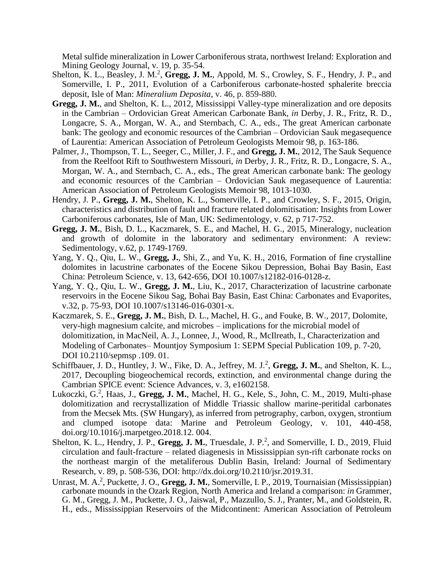Metal sulfide mineralization in Lower Carboniferous strata, northwest Ireland: Exploration and Mining Geology Journal, v. 19, p. 35-54.

- Shelton, K. L., Beasley, J. M.<sup>2</sup>, Gregg, J. M., Appold, M. S., Crowley, S. F., Hendry, J. P., and Somerville, I. P., 2011, Evolution of a Carboniferous carbonate-hosted sphalerite breccia deposit, Isle of Man: *Mineralium Deposita*, v. 46, p. 859-880.
- **Gregg, J. M.**, and Shelton, K. L., 2012, Mississippi Valley-type mineralization and ore deposits in the Cambrian – Ordovician Great American Carbonate Bank, *in* Derby, J. R., Fritz, R. D., Longacre, S. A., Morgan, W. A., and Sternbach, C. A., eds., The great American carbonate bank: The geology and economic resources of the Cambrian – Ordovician Sauk megasequence of Laurentia: American Association of Petroleum Geologists Memoir 98, p. 163-186.
- Palmer, J., Thompson, T. L., Seeger, C., Miller, J. F., and **Gregg, J. M.**, 2012, The Sauk Sequence from the Reelfoot Rift to Southwestern Missouri, *in* Derby, J. R., Fritz, R. D., Longacre, S. A., Morgan, W. A., and Sternbach, C. A., eds., The great American carbonate bank: The geology and economic resources of the Cambrian – Ordovician Sauk megasequence of Laurentia: American Association of Petroleum Geologists Memoir 98, 1013-1030.
- Hendry, J. P., **Gregg, J. M.**, Shelton, K. L., Somerville, I. P., and Crowley, S. F., 2015, Origin, characteristics and distribution of fault and fracture related dolomitisation: Insights from Lower Carboniferous carbonates, Isle of Man, UK: Sedimentology, v. 62, p 717-752.
- **Gregg, J. M.**, Bish, D. L., Kaczmarek, S. E., and Machel, H. G., 2015, Mineralogy, nucleation and growth of dolomite in the laboratory and sedimentary environment: A review: Sedimentology, v.62, p. 1749-1769.
- Yang, Y. Q., Qiu, L. W., **Gregg, J.**, Shi, Z., and Yu, K. H., 2016, Formation of fine crystalline dolomites in lacustrine carbonates of the Eocene Sikou Depression, Bohai Bay Basin, East China: Petroleum Science, v. 13, 642-656, DOI 10.1007/s12182-016-0128-z.
- Yang, Y. Q., Qiu, L. W., **Gregg, J. M.**, Liu, K., 2017, Characterization of lacustrine carbonate reservoirs in the Eocene Sikou Sag, Bohai Bay Basin, East China: Carbonates and Evaporites, v.32, p. 75-93, DOI 10.1007/s13146-016-0301-x.
- Kaczmarek, S. E., **Gregg, J. M.**, Bish, D. L., Machel, H. G., and Fouke, B. W., 2017, Dolomite, very-high magnesium calcite, and microbes – implications for the microbial model of dolomitization, in MacNeil, A. J., Lonnee, J., Wood, R., McIlreath, I., Characterization and Modeling of Carbonates– Mountjoy Symposium 1: SEPM Special Publication 109, p. 7-20, DOI 10.2110/sepmsp .109. 01.
- Schiffbauer, J. D., Huntley, J. W., Fike, D. A., Jeffrey, M. J.<sup>2</sup>, Gregg, J. M., and Shelton, K. L., 2017, Decoupling biogeochemical records, extinction, and environmental change during the Cambrian SPICE event: Science Advances, v. 3, e1602158.
- Lukoczki, G.<sup>2</sup>, Haas, J., Gregg, J. M., Machel, H. G., Kele, S., John, C. M., 2019, Multi-phase dolomitization and recrystallization of Middle Triassic shallow marine-peritidal carbonates from the Mecsek Mts. (SW Hungary), as inferred from petrography, carbon, oxygen, strontium and clumped isotope data: Marine and Petroleum Geology, v. 101, 440-458, doi.org/10.1016/j.marpetgeo.2018.12. 004.
- Shelton, K. L., Hendry, J. P., Gregg, J. M., Truesdale, J. P.<sup>2</sup>, and Somerville, I. D., 2019, Fluid circulation and fault-fracture – related diagenesis in Mississippian syn-rift carbonate rocks on the northeast margin of the metaliferous Dublin Basin, Ireland: Journal of Sedimentary Research, v. 89, p. 508-536, DOI: http://dx.doi.org/10.2110/jsr.2019.31.
- Unrast, M. A.<sup>2</sup>, Puckette, J. O., Gregg, J. M., Somerville, I. P., 2019, Tournaisian (Mississippian) carbonate mounds in the Ozark Region, North America and Ireland a comparison: *in* Grammer, G. M., Gregg, J. M., Puckette, J. O., Jaiswal, P., Mazzullo, S. J., Pranter, M., and Goldstein, R. H., eds., Mississippian Reservoirs of the Midcontinent: American Association of Petroleum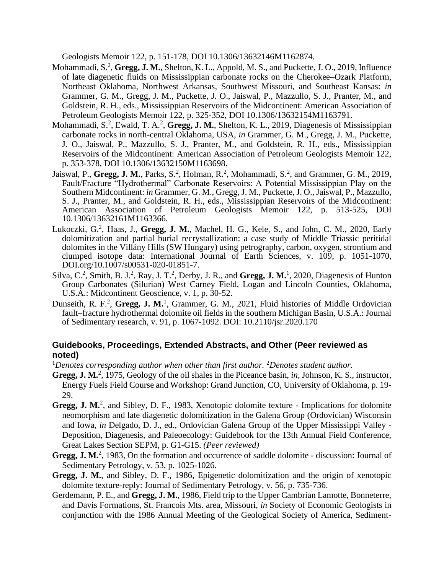Geologists Memoir 122, p. 151-178, DOI 10.1306/13632146M1162874.

- Mohammadi, S.<sup>2</sup>, Gregg, J. M., Shelton, K. L., Appold, M. S., and Puckette, J. O., 2019, Influence of late diagenetic fluids on Mississippian carbonate rocks on the Cherokee–Ozark Platform, Northeast Oklahoma, Northwest Arkansas, Southwest Missouri, and Southeast Kansas: *in*  Grammer, G. M., Gregg, J. M., Puckette, J. O., Jaiswal, P., Mazzullo, S. J., Pranter, M., and Goldstein, R. H., eds., Mississippian Reservoirs of the Midcontinent: American Association of Petroleum Geologists Memoir 122, p. 325-352, DOI 10.1306/13632154M1163791.
- Mohammadi, S.<sup>2</sup>, Ewald, T. A.<sup>2</sup>, Gregg, J. M., Shelton, K. L., 2019, Diagenesis of Mississippian carbonate rocks in north-central Oklahoma, USA, *in* Grammer, G. M., Gregg, J. M., Puckette, J. O., Jaiswal, P., Mazzullo, S. J., Pranter, M., and Goldstein, R. H., eds., Mississippian Reservoirs of the Midcontinent: American Association of Petroleum Geologists Memoir 122, p. 353-378, DOI 10.1306/13632150M1163698.
- Jaiswal, P., Gregg, J. M., Parks, S.<sup>2</sup>, Holman, R.<sup>2</sup>, Mohammadi, S.<sup>2</sup>, and Grammer, G. M., 2019, Fault/Fracture "Hydrothermal" Carbonate Reservoirs: A Potential Mississippian Play on the Southern Midcontinent: *in* Grammer, G. M., Gregg, J. M., Puckette, J. O., Jaiswal, P., Mazzullo, S. J., Pranter, M., and Goldstein, R. H., eds., Mississippian Reservoirs of the Midcontinent: American Association of Petroleum Geologists Memoir 122, p. 513-525, DOI 10.1306/13632161M1163366.
- Lukoczki, G.<sup>2</sup>, Haas, J., Gregg, J. M., Machel, H. G., Kele, S., and John, C. M., 2020, Early dolomitization and partial burial recrystallization: a case study of Middle Triassic peritidal dolomites in the Villány Hills (SW Hungary) using petrography, carbon, oxygen, strontium and clumped isotope data: International Journal of Earth Sciences, v. 109, p. 1051-1070, DOI.org/10.1007/s00531-020-01851-7.
- Silva, C.<sup>2</sup>, Smith, B. J.<sup>2</sup>, Ray, J. T.<sup>2</sup>, Derby, J. R., and Gregg, J. M.<sup>1</sup>, 2020, Diagenesis of Hunton Group Carbonates (Silurian) West Carney Field, Logan and Lincoln Counties, Oklahoma, U.S.A.: Midcontinent Geoscience, v. 1, p. 30-52.
- Dunseith, R. F.<sup>2</sup>, Gregg, J. M.<sup>1</sup>, Grammer, G. M., 2021, Fluid histories of Middle Ordovician fault–fracture hydrothermal dolomite oil fields in the southern Michigan Basin, U.S.A.: Journal of Sedimentary research, v. 91, p. 1067-1092. DOI: 10.2110/jsr.2020.170

#### **Guidebooks, Proceedings, Extended Abstracts, and Other (Peer reviewed as noted)**

<sup>1</sup>*Denotes corresponding author when other than first author.* <sup>2</sup>*Denotes student author.*

- Gregg, J. M.<sup>2</sup>, 1975, Geology of the oil shales in the Piceance basin, *in*, Johnson, K. S., instructor, Energy Fuels Field Course and Workshop: Grand Junction, CO, University of Oklahoma, p. 19- 29.
- Gregg, J. M.<sup>2</sup>, and Sibley, D. F., 1983, Xenotopic dolomite texture Implications for dolomite neomorphism and late diagenetic dolomitization in the Galena Group (Ordovician) Wisconsin and Iowa, *in* Delgado, D. J., ed., Ordovician Galena Group of the Upper Mississippi Valley - Deposition, Diagenesis, and Paleoecology: Guidebook for the 13th Annual Field Conference, Great Lakes Section SEPM, p. G1-G15. *(Peer reviewed)*
- Gregg, J. M.<sup>2</sup>, 1983, On the formation and occurrence of saddle dolomite discussion: Journal of Sedimentary Petrology, v. 53, p. 1025-1026.
- **Gregg, J. M.**, and Sibley, D. F., 1986, Epigenetic dolomitization and the origin of xenotopic dolomite texture-reply: Journal of Sedimentary Petrology, v. 56, p. 735-736.
- Gerdemann, P. E., and **Gregg, J. M.**, 1986, Field trip to the Upper Cambrian Lamotte, Bonneterre, and Davis Formations, St. Francois Mts. area, Missouri, *in* Society of Economic Geologists in conjunction with the 1986 Annual Meeting of the Geological Society of America, Sediment-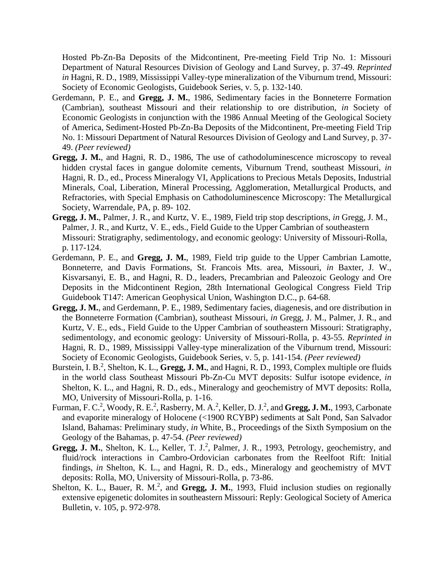Hosted Pb-Zn-Ba Deposits of the Midcontinent, Pre-meeting Field Trip No. 1: Missouri Department of Natural Resources Division of Geology and Land Survey, p. 37-49. *Reprinted in* Hagni, R. D., 1989, Mississippi Valley-type mineralization of the Viburnum trend, Missouri: Society of Economic Geologists, Guidebook Series, v. 5, p. 132-140.

- Gerdemann, P. E., and **Gregg, J. M.**, 1986, Sedimentary facies in the Bonneterre Formation (Cambrian), southeast Missouri and their relationship to ore distribution, *in* Society of Economic Geologists in conjunction with the 1986 Annual Meeting of the Geological Society of America, Sediment-Hosted Pb-Zn-Ba Deposits of the Midcontinent, Pre-meeting Field Trip No. 1: Missouri Department of Natural Resources Division of Geology and Land Survey, p. 37- 49. *(Peer reviewed)*
- **Gregg, J. M.**, and Hagni, R. D., 1986, The use of cathodoluminescence microscopy to reveal hidden crystal faces in gangue dolomite cements, Viburnum Trend, southeast Missouri, *in*  Hagni, R. D., ed., Process Mineralogy VI, Applications to Precious Metals Deposits, Industrial Minerals, Coal, Liberation, Mineral Processing, Agglomeration, Metallurgical Products, and Refractories, with Special Emphasis on Cathodoluminescence Microscopy: The Metallurgical Society, Warrendale, PA, p. 89- 102.
- **Gregg, J. M.**, Palmer, J. R., and Kurtz, V. E., 1989, Field trip stop descriptions, *in* Gregg, J. M., Palmer, J. R., and Kurtz, V. E., eds., Field Guide to the Upper Cambrian of southeastern Missouri: Stratigraphy, sedimentology, and economic geology: University of Missouri-Rolla, p. 117-124.
- Gerdemann, P. E., and **Gregg, J. M.**, 1989, Field trip guide to the Upper Cambrian Lamotte, Bonneterre, and Davis Formations, St. Francois Mts. area, Missouri, *in* Baxter, J. W., Kisvarsanyi, E. B., and Hagni, R. D., leaders, Precambrian and Paleozoic Geology and Ore Deposits in the Midcontinent Region, 28th International Geological Congress Field Trip Guidebook T147: American Geophysical Union, Washington D.C., p. 64-68.
- **Gregg, J. M.**, and Gerdemann, P. E., 1989, Sedimentary facies, diagenesis, and ore distribution in the Bonneterre Formation (Cambrian), southeast Missouri, *in* Gregg, J. M., Palmer, J. R., and Kurtz, V. E., eds., Field Guide to the Upper Cambrian of southeastern Missouri: Stratigraphy, sedimentology, and economic geology: University of Missouri-Rolla, p. 43-55. *Reprinted in*  Hagni, R. D., 1989, Mississippi Valley-type mineralization of the Viburnum trend, Missouri: Society of Economic Geologists, Guidebook Series, v. 5, p. 141-154. *(Peer reviewed)*
- Burstein, I. B.<sup>2</sup>, Shelton, K. L., Gregg, J. M., and Hagni, R. D., 1993, Complex multiple ore fluids in the world class Southeast Missouri Pb-Zn-Cu MVT deposits: Sulfur isotope evidence, *in*  Shelton, K. L., and Hagni, R. D., eds., Mineralogy and geochemistry of MVT deposits: Rolla, MO, University of Missouri-Rolla, p. 1-16.
- Furman, F. C.<sup>2</sup>, Woody, R. E.<sup>2</sup>, Rasberry, M. A.<sup>2</sup>, Keller, D. J.<sup>2</sup>, and Gregg, J. M., 1993, Carbonate and evaporite mineralogy of Holocene (<1900 RCYBP) sediments at Salt Pond, San Salvador Island, Bahamas: Preliminary study, *in* White, B., Proceedings of the Sixth Symposium on the Geology of the Bahamas, p. 47-54. *(Peer reviewed)*
- Gregg, J. M., Shelton, K. L., Keller, T. J.<sup>2</sup>, Palmer, J. R., 1993, Petrology, geochemistry, and fluid/rock interactions in Cambro-Ordovician carbonates from the Reelfoot Rift: Initial findings, *in* Shelton, K. L., and Hagni, R. D., eds., Mineralogy and geochemistry of MVT deposits: Rolla, MO, University of Missouri-Rolla, p. 73-86.
- Shelton, K. L., Bauer, R. M.<sup>2</sup>, and Gregg, J. M., 1993, Fluid inclusion studies on regionally extensive epigenetic dolomites in southeastern Missouri: Reply: Geological Society of America Bulletin, v. 105, p. 972-978.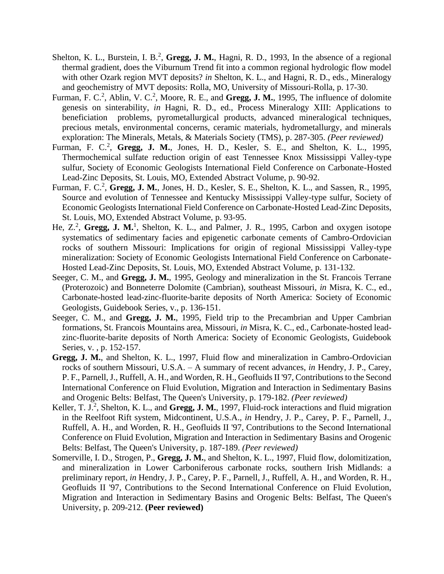- Shelton, K. L., Burstein, I. B.<sup>2</sup>, Gregg, J. M., Hagni, R. D., 1993, In the absence of a regional thermal gradient, does the Viburnum Trend fit into a common regional hydrologic flow model with other Ozark region MVT deposits? *in* Shelton, K. L., and Hagni, R. D., eds., Mineralogy and geochemistry of MVT deposits: Rolla, MO, University of Missouri-Rolla, p. 17-30.
- Furman, F. C.<sup>2</sup>, Ablin, V. C.<sup>2</sup>, Moore, R. E., and Gregg, J. M., 1995, The influence of dolomite genesis on sinterability, *in* Hagni, R. D., ed., Process Mineralogy XIII: Applications to beneficiation problems, pyrometallurgical products, advanced mineralogical techniques, precious metals, environmental concerns, ceramic materials, hydrometallurgy, and minerals exploration: The Minerals, Metals, & Materials Society (TMS), p. 287-305. *(Peer reviewed)*
- Furman, F. C.<sup>2</sup>, Gregg, J. M., Jones, H. D., Kesler, S. E., and Shelton, K. L., 1995, Thermochemical sulfate reduction origin of east Tennessee Knox Mississippi Valley-type sulfur, Society of Economic Geologists International Field Conference on Carbonate-Hosted Lead-Zinc Deposits, St. Louis, MO, Extended Abstract Volume, p. 90-92.
- Furman, F. C.<sup>2</sup>, Gregg, J. M., Jones, H. D., Kesler, S. E., Shelton, K. L., and Sassen, R., 1995, Source and evolution of Tennessee and Kentucky Mississippi Valley-type sulfur, Society of Economic Geologists International Field Conference on Carbonate-Hosted Lead-Zinc Deposits, St. Louis, MO, Extended Abstract Volume, p. 93-95.
- He, Z.<sup>2</sup>, Gregg, J. M.<sup>1</sup>, Shelton, K. L., and Palmer, J. R., 1995, Carbon and oxygen isotope systematics of sedimentary facies and epigenetic carbonate cements of Cambro-Ordovician rocks of southern Missouri: Implications for origin of regional Mississippi Valley-type mineralization: Society of Economic Geologists International Field Conference on Carbonate-Hosted Lead-Zinc Deposits, St. Louis, MO, Extended Abstract Volume, p. 131-132.
- Seeger, C. M., and **Gregg, J. M.**, 1995, Geology and mineralization in the St. Francois Terrane (Proterozoic) and Bonneterre Dolomite (Cambrian), southeast Missouri, *in* Misra, K. C., ed., Carbonate-hosted lead-zinc-fluorite-barite deposits of North America: Society of Economic Geologists, Guidebook Series, v., p. 136-151.
- Seeger, C. M., and **Gregg, J. M.**, 1995, Field trip to the Precambrian and Upper Cambrian formations, St. Francois Mountains area, Missouri, *in* Misra, K. C., ed., Carbonate-hosted leadzinc-fluorite-barite deposits of North America: Society of Economic Geologists, Guidebook Series, v. , p. 152-157.
- **Gregg, J. M.**, and Shelton, K. L., 1997, Fluid flow and mineralization in Cambro-Ordovician rocks of southern Missouri, U.S.A. – A summary of recent advances, *in* Hendry, J. P., Carey, P. F., Parnell, J., Ruffell, A. H., and Worden, R. H., Geofluids II '97, Contributions to the Second International Conference on Fluid Evolution, Migration and Interaction in Sedimentary Basins and Orogenic Belts: Belfast, The Queen's University, p. 179-182. *(Peer reviewed)*
- Keller, T. J.<sup>2</sup>, Shelton, K. L., and Gregg, J. M., 1997, Fluid-rock interactions and fluid migration in the Reelfoot Rift system, Midcontinent, U.S.A., *in* Hendry, J. P., Carey, P. F., Parnell, J., Ruffell, A. H., and Worden, R. H., Geofluids II '97, Contributions to the Second International Conference on Fluid Evolution, Migration and Interaction in Sedimentary Basins and Orogenic Belts: Belfast, The Queen's University, p. 187-189. *(Peer reviewed)*
- Somerville, I. D., Strogen, P., **Gregg, J. M.**, and Shelton, K. L., 1997, Fluid flow, dolomitization, and mineralization in Lower Carboniferous carbonate rocks, southern Irish Midlands: a preliminary report, *in* Hendry, J. P., Carey, P. F., Parnell, J., Ruffell, A. H., and Worden, R. H., Geofluids II '97, Contributions to the Second International Conference on Fluid Evolution, Migration and Interaction in Sedimentary Basins and Orogenic Belts: Belfast, The Queen's University, p. 209-212. **(Peer reviewed)**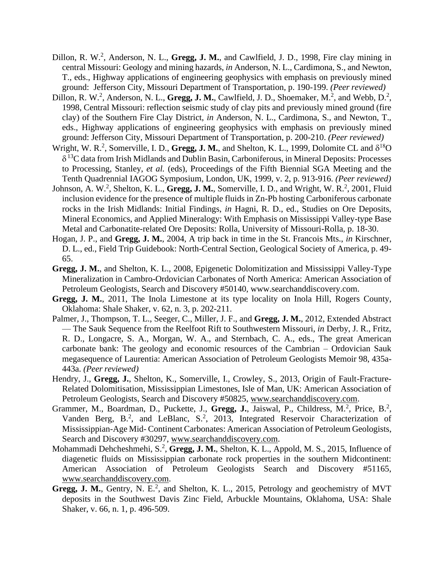- Dillon, R. W.<sup>2</sup>, Anderson, N. L., Gregg, J. M., and Cawlfield, J. D., 1998, Fire clay mining in central Missouri: Geology and mining hazards, *in* Anderson, N. L., Cardimona, S., and Newton, T., eds., Highway applications of engineering geophysics with emphasis on previously mined ground: Jefferson City, Missouri Department of Transportation, p. 190-199. *(Peer reviewed)*
- Dillon, R. W.<sup>2</sup>, Anderson, N. L., Gregg, J. M., Cawlfield, J. D., Shoemaker, M.<sup>2</sup>, and Webb, D.<sup>2</sup>, 1998, Central Missouri: reflection seismic study of clay pits and previously mined ground (fire clay) of the Southern Fire Clay District, *in* Anderson, N. L., Cardimona, S., and Newton, T., eds., Highway applications of engineering geophysics with emphasis on previously mined ground: Jefferson City, Missouri Department of Transportation, p. 200-210. *(Peer reviewed)*
- Wright, W. R.<sup>2</sup>, Somerville, I. D., Gregg, J. M., and Shelton, K. L., 1999, Dolomite CL and  $\delta^{18}O$  $\delta$ <sup>13</sup>C data from Irish Midlands and Dublin Basin, Carboniferous, in Mineral Deposits: Processes to Processing, Stanley, *et al.* (eds), Proceedings of the Fifth Biennial SGA Meeting and the Tenth Quadrennial IAGOG Symposium, London, UK, 1999, v. 2, p. 913-916. *(Peer reviewed)*
- Johnson, A. W.<sup>2</sup>, Shelton, K. L., Gregg, J. M., Somerville, I. D., and Wright, W. R.<sup>2</sup>, 2001, Fluid inclusion evidence for the presence of multiple fluids in Zn-Pb hosting Carboniferous carbonate rocks in the Irish Midlands: Initial Findings, *in* Hagni, R. D., ed., Studies on Ore Deposits, Mineral Economics, and Applied Mineralogy: With Emphasis on Mississippi Valley-type Base Metal and Carbonatite-related Ore Deposits: Rolla, University of Missouri-Rolla, p. 18-30.
- Hogan, J. P., and **Gregg, J. M.**, 2004, A trip back in time in the St. Francois Mts., *in* Kirschner, D. L., ed., Field Trip Guidebook: North-Central Section, Geological Society of America, p. 49- 65.
- **Gregg, J. M.**, and Shelton, K. L., 2008, Epigenetic Dolomitization and Mississippi Valley-Type Mineralization in Cambro-Ordovician Carbonates of North America: American Association of Petroleum Geologists, Search and Discove[ry #50140, www.searchanddiscovery.com.](http://www.searchanddiscovery.com/)
- **Gregg, J. M.**, 2011, The Inola Limestone at its type locality on Inola Hill, Rogers County, Oklahoma: Shale Shaker, v. 62, n. 3, p. 202-211.
- Palmer, J., Thompson, T. L., Seeger, C., Miller, J. F., and **Gregg, J. M.**, 2012, Extended Abstract — The Sauk Sequence from the Reelfoot Rift to Southwestern Missouri, *in* Derby, J. R., Fritz, R. D., Longacre, S. A., Morgan, W. A., and Sternbach, C. A., eds., The great American carbonate bank: The geology and economic resources of the Cambrian – Ordovician Sauk megasequence of Laurentia: American Association of Petroleum Geologists Memoir 98, 435a-443a. *(Peer reviewed)*
- Hendry, J., **Gregg, J.**, Shelton, K., Somerville, I., Crowley, S., 2013, Origin of Fault-Fracture-Related Dolomitisation, Mississippian Limestones, Isle of Man, UK: American Association of Petroleum Geologists, Search and Discovery #50825, [www.searchanddiscovery.com.](http://www.searchanddiscovery.com/)
- Grammer, M., Boardman, D., Puckette, J., Gregg, J., Jaiswal, P., Childress, M.<sup>2</sup>, Price, B.<sup>2</sup>, Vanden Berg,  $B^2$ , and LeBlanc,  $S^2$ , 2013, Integrated Reservoir Characterization of Mississippian-Age Mid- Continent Carbonates: American Association of Petroleum Geologists, Search and Discovery #30297, [www.searchanddiscovery.com.](http://www.searchanddiscovery.com/)
- Mohammadi Dehcheshmehi, S.<sup>2</sup>, Gregg, J. M., Shelton, K. L., Appold, M. S., 2015, Influence of diagenetic fluids on Mississippian carbonate rock properties in the southern Midcontinent: American Association of Petroleum Geologists Search and Discovery #51165, [www.searchanddiscovery.com.](http://www.searchanddiscovery.com/)
- Gregg, J. M., Gentry, N. E.<sup>2</sup>, and Shelton, K. L., 2015, Petrology and geochemistry of MVT deposits in the Southwest Davis Zinc Field, Arbuckle Mountains, Oklahoma, USA: Shale Shaker, v. 66, n. 1, p. 496-509.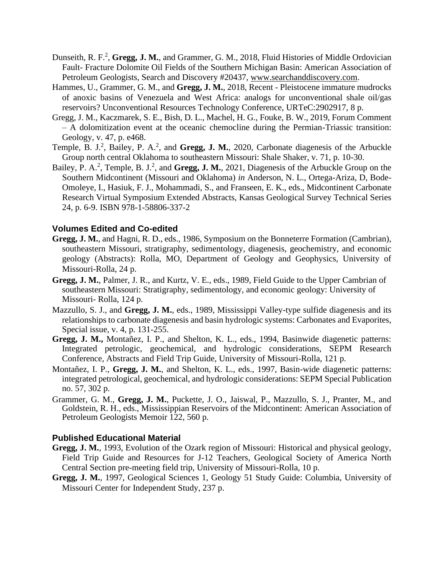- Dunseith, R. F.<sup>2</sup>, Gregg, J. M., and Grammer, G. M., 2018, Fluid Histories of Middle Ordovician Fault- Fracture Dolomite Oil Fields of the Southern Michigan Basin: American Association of Petroleum Geologists, Search and Discovery #20437, [www.searchanddiscovery.com.](http://www.searchanddiscovery.com/)
- Hammes, U., Grammer, G. M., and **Gregg, J. M.**, 2018, Recent Pleistocene immature mudrocks of anoxic basins of Venezuela and West Africa: analogs for unconventional shale oil/gas reservoirs? Unconventional Resources Technology Conference, URTeC:2902917, 8 p.
- Gregg, J. M., Kaczmarek, S. E., Bish, D. L., Machel, H. G., Fouke, B. W., 2019, Forum Comment – A dolomitization event at the oceanic chemocline during the Permian-Triassic transition: Geology, v. 47, p. e468.
- Temple, B. J.<sup>2</sup>, Bailey, P. A.<sup>2</sup>, and Gregg, J. M., 2020, Carbonate diagenesis of the Arbuckle Group north central Oklahoma to southeastern Missouri: Shale Shaker, v. 71, p. 10-30.
- Bailey, P. A.<sup>2</sup>, Temple, B. J.<sup>2</sup>, and **Gregg, J. M.**, 2021, Diagenesis of the Arbuckle Group on the Southern Midcontinent (Missouri and Oklahoma) *in* Anderson, N. L., Ortega-Ariza, D, Bode-Omoleye, I., Hasiuk, F. J., Mohammadi, S., and Franseen, E. K., eds., Midcontinent Carbonate Research Virtual Symposium Extended Abstracts, Kansas Geological Survey Technical Series 24, p. 6-9. ISBN 978-1-58806-337-2

## **Volumes Edited and Co-edited**

- **Gregg, J. M.**, and Hagni, R. D., eds., 1986, Symposium on the Bonneterre Formation (Cambrian), southeastern Missouri, stratigraphy, sedimentology, diagenesis, geochemistry, and economic geology (Abstracts): Rolla, MO, Department of Geology and Geophysics, University of Missouri-Rolla, 24 p.
- **Gregg, J. M.**, Palmer, J. R., and Kurtz, V. E., eds., 1989, Field Guide to the Upper Cambrian of southeastern Missouri: Stratigraphy, sedimentology, and economic geology: University of Missouri- Rolla, 124 p.
- Mazzullo, S. J., and **Gregg, J. M.**, eds., 1989, Mississippi Valley-type sulfide diagenesis and its relationships to carbonate diagenesis and basin hydrologic systems: Carbonates and Evaporites, Special issue, v. 4, p. 131-255.
- **Gregg, J. M.,** Montañez, I. P., and Shelton, K. L., eds., 1994, Basinwide diagenetic patterns: Integrated petrologic, geochemical, and hydrologic considerations, SEPM Research Conference, Abstracts and Field Trip Guide, University of Missouri-Rolla, 121 p.
- Montañez, I. P., **Gregg, J. M.**, and Shelton, K. L., eds., 1997, Basin-wide diagenetic patterns: integrated petrological, geochemical, and hydrologic considerations: SEPM Special Publication no. 57, 302 p.
- Grammer, G. M., **Gregg, J. M.**, Puckette, J. O., Jaiswal, P., Mazzullo, S. J., Pranter, M., and Goldstein, R. H., eds., Mississippian Reservoirs of the Midcontinent: American Association of Petroleum Geologists Memoir 122, 560 p.

## **Published Educational Material**

- **Gregg, J. M.**, 1993, Evolution of the Ozark region of Missouri: Historical and physical geology, Field Trip Guide and Resources for J-12 Teachers, Geological Society of America North Central Section pre-meeting field trip, University of Missouri-Rolla, 10 p.
- **Gregg, J. M.**, 1997, Geological Sciences 1, Geology 51 Study Guide: Columbia, University of Missouri Center for Independent Study, 237 p.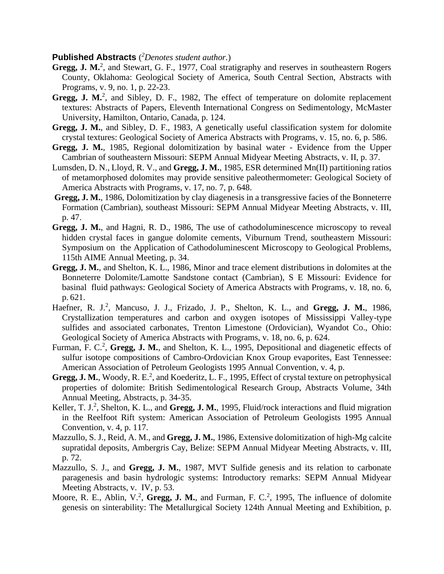## **Published Abstracts** ( *<sup>2</sup>Denotes student author.*)

- Gregg, J. M.<sup>2</sup>, and Stewart, G. F., 1977, Coal stratigraphy and reserves in southeastern Rogers County, Oklahoma: Geological Society of America, South Central Section, Abstracts with Programs, v. 9, no. 1, p. 22-23.
- Gregg, J. M.<sup>2</sup>, and Sibley, D. F., 1982, The effect of temperature on dolomite replacement textures: Abstracts of Papers, Eleventh International Congress on Sedimentology, McMaster University, Hamilton, Ontario, Canada, p. 124.
- **Gregg, J. M.**, and Sibley, D. F., 1983, A genetically useful classification system for dolomite crystal textures: Geological Society of America Abstracts with Programs, v. 15, no. 6, p. 586.
- **Gregg, J. M.**, 1985, Regional dolomitization by basinal water Evidence from the Upper Cambrian of southeastern Missouri: SEPM Annual Midyear Meeting Abstracts, v. II, p. 37.
- Lumsden, D. N., Lloyd, R. V., and **Gregg, J. M.**, 1985, ESR determined Mn(II) partitioning ratios of metamorphosed dolomites may provide sensitive paleothermometer: Geological Society of America Abstracts with Programs, v. 17, no. 7, p. 648.
- **Gregg, J. M.**, 1986, Dolomitization by clay diagenesis in a transgressive facies of the Bonneterre Formation (Cambrian), southeast Missouri: SEPM Annual Midyear Meeting Abstracts, v. III, p. 47.
- **Gregg, J. M.**, and Hagni, R. D., 1986, The use of cathodoluminescence microscopy to reveal hidden crystal faces in gangue dolomite cements, Viburnum Trend, southeastern Missouri: Symposium on the Application of Cathodoluminescent Microscopy to Geological Problems, 115th AIME Annual Meeting, p. 34.
- **Gregg, J. M.**, and Shelton, K. L., 1986, Minor and trace element distributions in dolomites at the Bonneterre Dolomite/Lamotte Sandstone contact (Cambrian), S E Missouri: Evidence for basinal fluid pathways: Geological Society of America Abstracts with Programs, v. 18, no. 6, p. 621.
- Haefner, R. J.<sup>2</sup>, Mancuso, J. J., Frizado, J. P., Shelton, K. L., and Gregg, J. M., 1986, Crystallization temperatures and carbon and oxygen isotopes of Mississippi Valley-type sulfides and associated carbonates, Trenton Limestone (Ordovician), Wyandot Co., Ohio: Geological Society of America Abstracts with Programs, v. 18, no. 6, p. 624.
- Furman, F. C.<sup>2</sup>, Gregg, J. M., and Shelton, K. L., 1995, Depositional and diagenetic effects of sulfur isotope compositions of Cambro-Ordovician Knox Group evaporites, East Tennessee: American Association of Petroleum Geologists 1995 Annual Convention, v. 4, p.
- Gregg, J. M., Woody, R. E.<sup>2</sup>, and Koederitz, L. F., 1995, Effect of crystal texture on petrophysical properties of dolomite: British Sedimentological Research Group, Abstracts Volume, 34th Annual Meeting, Abstracts, p. 34-35.
- Keller, T. J.<sup>2</sup>, Shelton, K. L., and Gregg, J. M., 1995, Fluid/rock interactions and fluid migration in the Reelfoot Rift system: American Association of Petroleum Geologists 1995 Annual Convention, v. 4, p. 117.
- Mazzullo, S. J., Reid, A. M., and **Gregg, J. M.**, 1986, Extensive dolomitization of high-Mg calcite supratidal deposits, Ambergris Cay, Belize: SEPM Annual Midyear Meeting Abstracts, v. III, p. 72.
- Mazzullo, S. J., and **Gregg, J. M.**, 1987, MVT Sulfide genesis and its relation to carbonate paragenesis and basin hydrologic systems: Introductory remarks: SEPM Annual Midyear Meeting Abstracts, v. IV, p. 53.
- Moore, R. E., Ablin, V.<sup>2</sup>, Gregg, J. M., and Furman, F. C.<sup>2</sup>, 1995, The influence of dolomite genesis on sinterability: The Metallurgical Society 124th Annual Meeting and Exhibition, p.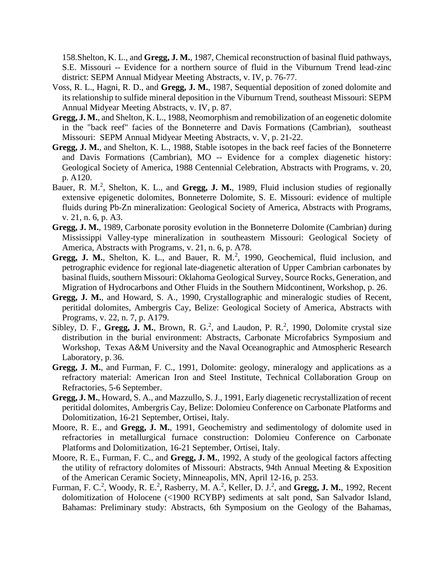158.Shelton, K. L., and **Gregg, J. M.**, 1987, Chemical reconstruction of basinal fluid pathways, S.E. Missouri -- Evidence for a northern source of fluid in the Viburnum Trend lead-zinc district: SEPM Annual Midyear Meeting Abstracts, v. IV, p. 76-77.

- Voss, R. L., Hagni, R. D., and **Gregg, J. M.**, 1987, Sequential deposition of zoned dolomite and its relationship to sulfide mineral deposition in the Viburnum Trend, southeast Missouri: SEPM Annual Midyear Meeting Abstracts, v. IV, p. 87.
- **Gregg, J. M.**, and Shelton, K. L., 1988, Neomorphism and remobilization of an eogenetic dolomite in the "back reef" facies of the Bonneterre and Davis Formations (Cambrian), southeast Missouri: SEPM Annual Midyear Meeting Abstracts, v. V, p. 21-22.
- **Gregg, J. M.**, and Shelton, K. L., 1988, Stable isotopes in the back reef facies of the Bonneterre and Davis Formations (Cambrian), MO -- Evidence for a complex diagenetic history: Geological Society of America, 1988 Centennial Celebration, Abstracts with Programs, v. 20, p. A120.
- Bauer, R. M.<sup>2</sup>, Shelton, K. L., and Gregg, J. M., 1989, Fluid inclusion studies of regionally extensive epigenetic dolomites, Bonneterre Dolomite, S. E. Missouri: evidence of multiple fluids during Pb-Zn mineralization: Geological Society of America, Abstracts with Programs, v. 21, n. 6, p. A3.
- **Gregg, J. M.**, 1989, Carbonate porosity evolution in the Bonneterre Dolomite (Cambrian) during Mississippi Valley-type mineralization in southeastern Missouri: Geological Society of America, Abstracts with Programs, v. 21, n. 6, p. A78.
- Gregg, J. M., Shelton, K. L., and Bauer, R. M.<sup>2</sup>, 1990, Geochemical, fluid inclusion, and petrographic evidence for regional late-diagenetic alteration of Upper Cambrian carbonates by basinal fluids, southern Missouri: Oklahoma Geological Survey, Source Rocks, Generation, and Migration of Hydrocarbons and Other Fluids in the Southern Midcontinent, Workshop, p. 26.
- **Gregg, J. M.**, and Howard, S. A., 1990, Crystallographic and mineralogic studies of Recent, peritidal dolomites, Ambergris Cay, Belize: Geological Society of America, Abstracts with Programs, v. 22, n. 7, p. A179.
- Sibley, D. F., Gregg, J. M., Brown, R.  $G<sup>2</sup>$ , and Laudon, P. R.<sup>2</sup>, 1990, Dolomite crystal size distribution in the burial environment: Abstracts, Carbonate Microfabrics Symposium and Workshop, Texas A&M University and the Naval Oceanographic and Atmospheric Research Laboratory, p. 36.
- **Gregg, J. M.**, and Furman, F. C., 1991, Dolomite: geology, mineralogy and applications as a refractory material: American Iron and Steel Institute, Technical Collaboration Group on Refractories, 5-6 September.
- **Gregg, J. M.**, Howard, S. A., and Mazzullo, S. J., 1991, Early diagenetic recrystallization of recent peritidal dolomites, Ambergris Cay, Belize: Dolomieu Conference on Carbonate Platforms and Dolomitization, 16-21 September, Ortisei, Italy.
- Moore, R. E., and **Gregg, J. M.**, 1991, Geochemistry and sedimentology of dolomite used in refractories in metallurgical furnace construction: Dolomieu Conference on Carbonate Platforms and Dolomitization, 16-21 September, Ortisei, Italy.
- Moore, R. E., Furman, F. C., and **Gregg, J. M.**, 1992, A study of the geological factors affecting the utility of refractory dolomites of Missouri: Abstracts, 94th Annual Meeting & Exposition of the American Ceramic Society, Minneapolis, MN, April 12-16, p. 253.
- Furman, F. C.<sup>2</sup>, Woody, R. E.<sup>2</sup>, Rasberry, M. A.<sup>2</sup>, Keller, D. J.<sup>2</sup>, and Gregg, J. M., 1992, Recent dolomitization of Holocene (<1900 RCYBP) sediments at salt pond, San Salvador Island, Bahamas: Preliminary study: Abstracts, 6th Symposium on the Geology of the Bahamas,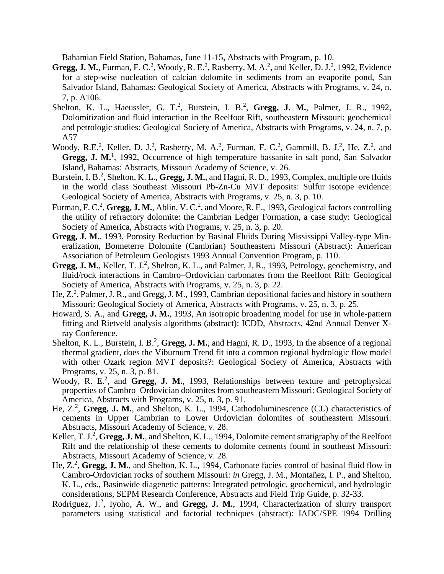Bahamian Field Station, Bahamas, June 11-15, Abstracts with Program, p. 10.

- **Gregg, J. M.**, Furman, F. C.<sup>2</sup>, Woody, R. E.<sup>2</sup>, Rasberry, M. A.<sup>2</sup>, and Keller, D. J.<sup>2</sup>, 1992, Evidence for a step-wise nucleation of calcian dolomite in sediments from an evaporite pond, San Salvador Island, Bahamas: Geological Society of America, Abstracts with Programs, v. 24, n. 7, p. A106.
- Shelton, K. L., Haeussler, G. T.<sup>2</sup>, Burstein, I. B.<sup>2</sup>, Gregg, J. M., Palmer, J. R., 1992, Dolomitization and fluid interaction in the Reelfoot Rift, southeastern Missouri: geochemical and petrologic studies: Geological Society of America, Abstracts with Programs, v. 24, n. 7, p. A57
- Woody, R.E.<sup>2</sup>, Keller, D. J.<sup>2</sup>, Rasberry, M. A.<sup>2</sup>, Furman, F. C.<sup>2</sup>, Gammill, B. J.<sup>2</sup>, He, Z.<sup>2</sup>, and Gregg, J. M.<sup>1</sup>, 1992, Occurrence of high temperature bassanite in salt pond, San Salvador Island, Bahamas: Abstracts, Missouri Academy of Science, v. 26.
- Burstein, I. B.<sup>2</sup>, Shelton, K. L., Gregg, J. M., and Hagni, R. D., 1993, Complex, multiple ore fluids in the world class Southeast Missouri Pb-Zn-Cu MVT deposits: Sulfur isotope evidence: Geological Society of America, Abstracts with Programs, v. 25, n. 3, p. 10.
- Furman, F. C.<sup>2</sup>, Gregg, J. M., Ablin, V. C.<sup>2</sup>, and Moore, R. E., 1993, Geological factors controlling the utility of refractory dolomite: the Cambrian Ledger Formation, a case study: Geological Society of America, Abstracts with Programs, v. 25, n. 3, p. 20.
- **Gregg, J. M.**, 1993, Porosity Reduction by Basinal Fluids During Mississippi Valley-type Mineralization, Bonneterre Dolomite (Cambrian) Southeastern Missouri (Abstract): American Association of Petroleum Geologists 1993 Annual Convention Program, p. 110.
- Gregg, J. M., Keller, T. J.<sup>2</sup>, Shelton, K. L., and Palmer, J. R., 1993, Petrology, geochemistry, and fluid/rock interactions in Cambro–Ordovician carbonates from the Reelfoot Rift: Geological Society of America, Abstracts with Programs, v. 25, n. 3, p. 22.
- He, Z.<sup>2</sup>, Palmer, J. R., and Gregg, J. M., 1993, Cambrian depositional facies and history in southern Missouri: Geological Society of America, Abstracts with Programs, v. 25, n. 3, p. 25.
- Howard, S. A., and **Gregg, J. M.**, 1993, An isotropic broadening model for use in whole-pattern fitting and Rietveld analysis algorithms (abstract): ICDD, Abstracts, 42nd Annual Denver Xray Conference.
- Shelton, K. L., Burstein, I. B.<sup>2</sup>, Gregg, J. M., and Hagni, R. D., 1993, In the absence of a regional thermal gradient, does the Viburnum Trend fit into a common regional hydrologic flow model with other Ozark region MVT deposits?: Geological Society of America, Abstracts with Programs, v. 25, n. 3, p. 81.
- Woody, R. E.<sup>2</sup>, and Gregg, J. M., 1993, Relationships between texture and petrophysical properties of Cambro–Ordovician dolomites from southeastern Missouri: Geological Society of America, Abstracts with Programs, v. 25, n. 3, p. 91.
- He, Z.<sup>2</sup>, Gregg, J. M., and Shelton, K. L., 1994, Cathodoluminescence (CL) characteristics of cements in Upper Cambrian to Lower Ordovician dolomites of southeastern Missouri: Abstracts, Missouri Academy of Science, v. 28.
- Keller, T. J.<sup>2</sup>, Gregg, J. M., and Shelton, K. L., 1994, Dolomite cement stratigraphy of the Reelfoot Rift and the relationship of these cements to dolomite cements found in southeast Missouri: Abstracts, Missouri Academy of Science, v. 28.
- He, Z.<sup>2</sup>, Gregg, J. M., and Shelton, K. L., 1994, Carbonate facies control of basinal fluid flow in Cambro-Ordovician rocks of southern Missouri: *in* Gregg, J. M., Montañez, I. P., and Shelton, K. L., eds., Basinwide diagenetic patterns: Integrated petrologic, geochemical, and hydrologic considerations, SEPM Research Conference, Abstracts and Field Trip Guide, p. 32-33.
- Rodriguez, J.<sup>2</sup>, Iyoho, A. W., and Gregg, J. M., 1994, Characterization of slurry transport parameters using statistical and factorial techniques (abstract): IADC/SPE 1994 Drilling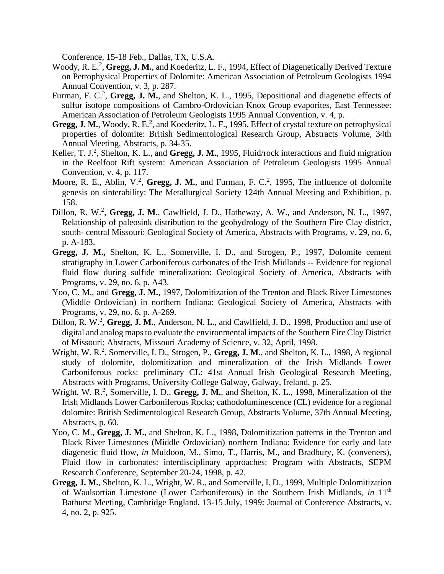Conference, 15-18 Feb., Dallas, TX, U.S.A.

- Woody, R. E.<sup>2</sup>, Gregg, J. M., and Koederitz, L. F., 1994, Effect of Diagenetically Derived Texture on Petrophysical Properties of Dolomite: American Association of Petroleum Geologists 1994 Annual Convention, v. 3, p. 287.
- Furman, F. C.<sup>2</sup>, Gregg, J. M., and Shelton, K. L., 1995, Depositional and diagenetic effects of sulfur isotope compositions of Cambro-Ordovician Knox Group evaporites, East Tennessee: American Association of Petroleum Geologists 1995 Annual Convention, v. 4, p.
- Gregg, J. M., Woody, R. E.<sup>2</sup>, and Koederitz, L. F., 1995, Effect of crystal texture on petrophysical properties of dolomite: British Sedimentological Research Group, Abstracts Volume, 34th Annual Meeting, Abstracts, p. 34-35.
- Keller, T. J.<sup>2</sup>, Shelton, K. L., and Gregg, J. M., 1995, Fluid/rock interactions and fluid migration in the Reelfoot Rift system: American Association of Petroleum Geologists 1995 Annual Convention, v. 4, p. 117.
- Moore, R. E., Ablin, V.<sup>2</sup>, Gregg, J. M., and Furman, F. C.<sup>2</sup>, 1995, The influence of dolomite genesis on sinterability: The Metallurgical Society 124th Annual Meeting and Exhibition, p. 158.
- Dillon, R. W.<sup>2</sup>, Gregg, J. M., Cawlfield, J. D., Hatheway, A. W., and Anderson, N. L., 1997, Relationship of paleosink distribution to the geohydrology of the Southern Fire Clay district, south- central Missouri: Geological Society of America, Abstracts with Programs, v. 29, no. 6, p. A-183.
- **Gregg, J. M.,** Shelton, K. L., Somerville, I. D., and Strogen, P., 1997, Dolomite cement stratigraphy in Lower Carboniferous carbonates of the Irish Midlands -- Evidence for regional fluid flow during sulfide mineralization: Geological Society of America, Abstracts with Programs, v. 29, no. 6, p. A43.
- Yoo, C. M., and **Gregg, J. M.**, 1997, Dolomitization of the Trenton and Black River Limestones (Middle Ordovician) in northern Indiana: Geological Society of America, Abstracts with Programs, v. 29, no. 6, p. A-269.
- Dillon, R. W.<sup>2</sup>, Gregg, J. M., Anderson, N. L., and Cawlfield, J. D., 1998, Production and use of digital and analog maps to evaluate the environmental impacts of the Southern Fire Clay District of Missouri: Abstracts, Missouri Academy of Science, v. 32, April, 1998.
- Wright, W. R.<sup>2</sup>, Somerville, I. D., Strogen, P., Gregg, J. M., and Shelton, K. L., 1998, A regional study of dolomite, dolomitization and mineralization of the Irish Midlands Lower Carboniferous rocks: preliminary CL: 41st Annual Irish Geological Research Meeting, Abstracts with Programs, University College Galway, Galway, Ireland, p. 25.
- Wright, W. R.<sup>2</sup>, Somerville, I. D., Gregg, J. M., and Shelton, K. L., 1998, Mineralization of the Irish Midlands Lower Carboniferous Rocks; cathodoluminescence (CL) evidence for a regional dolomite: British Sedimentological Research Group, Abstracts Volume, 37th Annual Meeting, Abstracts, p. 60.
- Yoo, C. M., **Gregg, J. M.**, and Shelton, K. L., 1998, Dolomitization patterns in the Trenton and Black River Limestones (Middle Ordovician) northern Indiana: Evidence for early and late diagenetic fluid flow, *in* Muldoon, M., Simo, T., Harris, M., and Bradbury, K. (conveners), Fluid flow in carbonates: interdisciplinary approaches: Program with Abstracts, SEPM Research Conference, September 20-24, 1998, p. 42.
- **Gregg, J. M.**, Shelton, K. L., Wright, W. R., and Somerville, I. D., 1999, Multiple Dolomitization of Waulsortian Limestone (Lower Carboniferous) in the Southern Irish Midlands, *in* 11th Bathurst Meeting, Cambridge England, 13-15 July, 1999: Journal of Conference Abstracts, v. 4, no. 2, p. 925.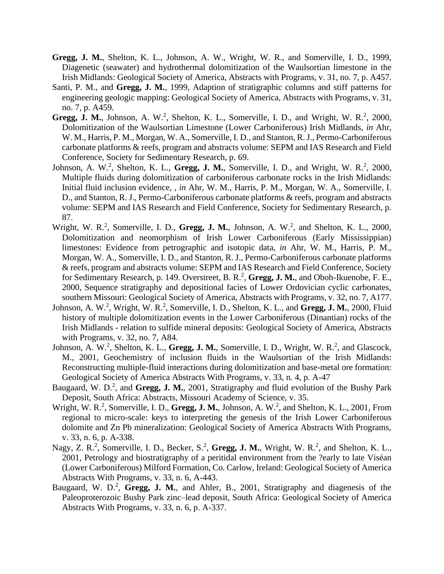- **Gregg, J. M.**, Shelton, K. L., Johnson, A. W., Wright, W. R., and Somerville, I. D., 1999, Diagenetic (seawater) and hydrothermal dolomitization of the Waulsortian limestone in the Irish Midlands: Geological Society of America, Abstracts with Programs, v. 31, no. 7, p. A457.
- Santi, P. M., and **Gregg, J. M.**, 1999, Adaption of stratigraphic columns and stiff patterns for engineering geologic mapping: Geological Society of America, Abstracts with Programs, v. 31, no. 7, p. A459.
- Gregg, J. M., Johnson, A. W.<sup>2</sup>, Shelton, K. L., Somerville, I. D., and Wright, W. R.<sup>2</sup>, 2000, Dolomitization of the Waulsortian Limestone (Lower Carboniferous) Irish Midlands, *in* Ahr, W. M., Harris, P. M., Morgan, W. A., Somerville, I. D., and Stanton, R. J., Permo-Carboniferous carbonate platforms & reefs, program and abstracts volume: SEPM and IAS Research and Field Conference, Society for Sedimentary Research, p. 69.
- Johnson, A. W.<sup>2</sup>, Shelton, K. L., Gregg, J. M., Somerville, I. D., and Wright, W. R.<sup>2</sup>, 2000, Multiple fluids during dolomitization of carboniferous carbonate rocks in the Irish Midlands: Initial fluid inclusion evidence, , *in* Ahr, W. M., Harris, P. M., Morgan, W. A., Somerville, I. D., and Stanton, R. J., Permo-Carboniferous carbonate platforms & reefs, program and abstracts volume: SEPM and IAS Research and Field Conference, Society for Sedimentary Research, p. 87.
- Wright, W. R.<sup>2</sup>, Somerville, I. D., Gregg, J. M., Johnson, A. W.<sup>2</sup>, and Shelton, K. L., 2000, Dolomitization and neomorphism of Irish Lower Carboniferous (Early Mississippian) limestones: Evidence from petrographic and isotopic data, *in* Ahr, W. M., Harris, P. M., Morgan, W. A., Somerville, I. D., and Stanton, R. J., Permo-Carboniferous carbonate platforms & reefs, program and abstracts volume: SEPM and IAS Research and Field Conference, Society for Sedimentary Research, p. 149. Overstreet, B. R.<sup>2</sup>, Gregg, J. M., and Oboh-Ikuenobe, F. E., 2000, Sequence stratigraphy and depositional facies of Lower Ordovician cyclic carbonates, southern Missouri: Geological Society of America, Abstracts with Programs, v. 32, no. 7, A177.
- Johnson, A. W.<sup>2</sup>, Wright, W. R.<sup>2</sup>, Somerville, I. D., Shelton, K. L., and Gregg, J. M., 2000, Fluid history of multiple dolomitization events in the Lower Carboniferous (Dinantian) rocks of the Irish Midlands - relation to sulfide mineral deposits: Geological Society of America, Abstracts with Programs, v. 32, no. 7, A84.
- Johnson, A. W.<sup>2</sup>, Shelton, K. L., Gregg, J. M., Somerville, I. D., Wright, W. R.<sup>2</sup>, and Glascock, M., 2001, Geochemistry of inclusion fluids in the Waulsortian of the Irish Midlands: Reconstructing multiple-fluid interactions during dolomitization and base-metal ore formation: Geological Society of America Abstracts With Programs, v. 33, n. 4, p. A-47
- Baugaard, W. D.<sup>2</sup>, and Gregg, J. M., 2001, Stratigraphy and fluid evolution of the Bushy Park Deposit, South Africa: Abstracts, Missouri Academy of Science, v. 35.
- Wright, W. R.<sup>2</sup>, Somerville, I. D., Gregg, J. M., Johnson, A. W.<sup>2</sup>, and Shelton, K. L., 2001, From regional to micro-scale: keys to interpreting the genesis of the Irish Lower Carboniferous dolomite and Zn Pb mineralization: Geological Society of America Abstracts With Programs, v. 33, n. 6, p. A-338.
- Nagy, Z. R.<sup>2</sup>, Somerville, I. D., Becker, S.<sup>2</sup>, Gregg, J. M., Wright, W. R.<sup>2</sup>, and Shelton, K. L., 2001, Petrology and biostratigraphy of a peritidal environment from the ?early to late Viséan (Lower Carboniferous) Milford Formation, Co. Carlow, Ireland: Geological Society of America Abstracts With Programs, v. 33, n. 6, A-443.
- Baugaard, W. D.<sup>2</sup>, Gregg, J. M., and Ahler, B., 2001, Stratigraphy and diagenesis of the Paleoproterozoic Bushy Park zinc–lead deposit, South Africa: Geological Society of America Abstracts With Programs, v. 33, n. 6, p. A-337.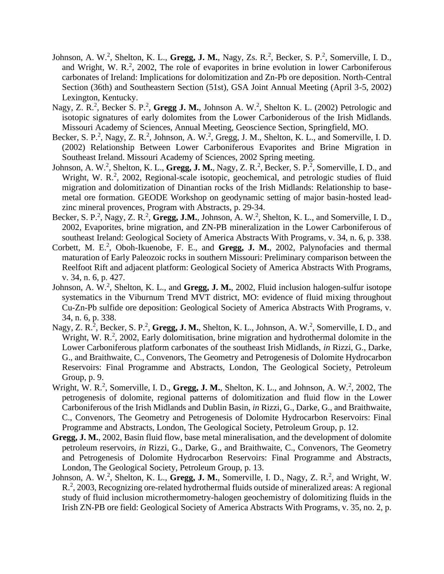- Johnson, A. W.<sup>2</sup>, Shelton, K. L., Gregg, J. M., Nagy, Zs. R.<sup>2</sup>, Becker, S. P.<sup>2</sup>, Somerville, I. D., and Wright, W. R.<sup>2</sup>, 2002, The role of evaporites in brine evolution in lower Carboniferous carbonates of Ireland: Implications for dolomitization and Zn-Pb ore deposition. North-Central Section (36th) and Southeastern Section (51st), GSA Joint Annual Meeting (April 3-5, 2002) Lexington, Kentucky.
- Nagy, Z. R.<sup>2</sup>, Becker S. P.<sup>2</sup>, Gregg J. M., Johnson A. W.<sup>2</sup>, Shelton K. L. (2002) Petrologic and isotopic signatures of early dolomites from the Lower Carboniderous of the Irish Midlands. Missouri Academy of Sciences, Annual Meeting, Geoscience Section, Springfield, MO.
- Becker, S. P.<sup>2</sup>, Nagy, Z. R.<sup>2</sup>, Johnson, A. W.<sup>2</sup>, Gregg, J. M., Shelton, K. L., and Somerville, I. D. (2002) Relationship Between Lower Carboniferous Evaporites and Brine Migration in Southeast Ireland. Missouri Academy of Sciences, 2002 Spring meeting.
- Johnson, A. W.<sup>2</sup>, Shelton, K. L., Gregg, J. M., Nagy, Z. R.<sup>2</sup>, Becker, S. P.<sup>2</sup>, Somerville, I. D., and Wright, W. R.<sup>2</sup>, 2002, Regional-scale isotopic, geochemical, and petrologic studies of fluid migration and dolomitization of Dinantian rocks of the Irish Midlands: Relationship to basemetal ore formation. GEODE Workshop on geodynamic setting of major basin-hosted leadzinc mineral provences, Program with Abstracts, p. 29-34.
- Becker, S. P.<sup>2</sup>, Nagy, Z. R.<sup>2</sup>, Gregg, J.M., Johnson, A. W.<sup>2</sup>, Shelton, K. L., and Somerville, I. D., 2002, Evaporites, brine migration, and ZN-PB mineralization in the Lower Carboniferous of southeast Ireland: Geological Society of America Abstracts With Programs, v. 34, n. 6, p. 338.
- Corbett, M. E.<sup>2</sup>, Oboh-Ikuenobe, F. E., and Gregg, J. M., 2002, Palynofacies and thermal maturation of Early Paleozoic rocks in southern Missouri: Preliminary comparison between the Reelfoot Rift and adjacent platform: Geological Society of America Abstracts With Programs, v. 34, n. 6, p. 427.
- Johnson, A. W.<sup>2</sup>, Shelton, K. L., and Gregg, J. M., 2002, Fluid inclusion halogen-sulfur isotope systematics in the Viburnum Trend MVT district, MO: evidence of fluid mixing throughout Cu-Zn-Pb sulfide ore deposition: Geological Society of America Abstracts With Programs, v. 34, n. 6, p. 338.
- Nagy, Z. R.<sup>2</sup>, Becker, S. P.<sup>2</sup>, Gregg, J. M., Shelton, K. L., Johnson, A. W.<sup>2</sup>, Somerville, I. D., and Wright, W. R.<sup>2</sup>, 2002, Early dolomitisation, brine migration and hydrothermal dolomite in the Lower Carboniferous platform carbonates of the southeast Irish Midlands, *in* Rizzi, G., Darke, G., and Braithwaite, C., Convenors, The Geometry and Petrogenesis of Dolomite Hydrocarbon Reservoirs: Final Programme and Abstracts, London, The Geological Society, Petroleum Group, p. 9.
- Wright, W. R.<sup>2</sup>, Somerville, I. D., Gregg, J. M., Shelton, K. L., and Johnson, A. W.<sup>2</sup>, 2002, The petrogenesis of dolomite, regional patterns of dolomitization and fluid flow in the Lower Carboniferous of the Irish Midlands and Dublin Basin, *in* Rizzi, G., Darke, G., and Braithwaite, C., Convenors, The Geometry and Petrogenesis of Dolomite Hydrocarbon Reservoirs: Final Programme and Abstracts, London, The Geological Society, Petroleum Group, p. 12.
- **Gregg, J. M.**, 2002, Basin fluid flow, base metal mineralisation, and the development of dolomite petroleum reservoirs, *in* Rizzi, G., Darke, G., and Braithwaite, C., Convenors, The Geometry and Petrogenesis of Dolomite Hydrocarbon Reservoirs: Final Programme and Abstracts, London, The Geological Society, Petroleum Group, p. 13.
- Johnson, A. W.<sup>2</sup>, Shelton, K. L., Gregg, J. M., Somerville, I. D., Nagy, Z. R.<sup>2</sup>, and Wright, W. R.<sup>2</sup>, 2003, Recognizing ore-related hydrothermal fluids outside of mineralized areas: A regional study of fluid inclusion microthermometry-halogen geochemistry of dolomitizing fluids in the Irish ZN-PB ore field: Geological Society of America Abstracts With Programs, v. 35, no. 2, p.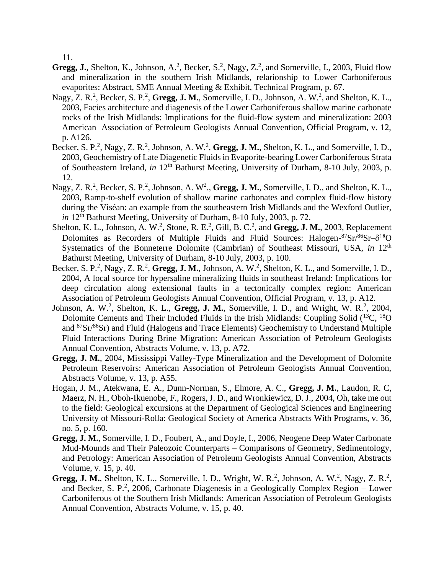11.

- **Gregg, J.**, Shelton, K., Johnson, A.<sup>2</sup>, Becker, S.<sup>2</sup>, Nagy, Z.<sup>2</sup>, and Somerville, I., 2003, Fluid flow and mineralization in the southern Irish Midlands, relarionship to Lower Carboniferous evaporites: Abstract, SME Annual Meeting & Exhibit, Technical Program, p. 67.
- Nagy, Z. R.<sup>2</sup>, Becker, S. P.<sup>2</sup>, Gregg, J. M., Somerville, I. D., Johnson, A. W.<sup>2</sup>, and Shelton, K. L., 2003, Facies architecture and diagenesis of the Lower Carboniferous shallow marine carbonate rocks of the Irish Midlands: Implications for the fluid-flow system and mineralization: 2003 American Association of Petroleum Geologists Annual Convention, Official Program, v. 12, p. A126.
- Becker, S. P.<sup>2</sup>, Nagy, Z. R.<sup>2</sup>, Johnson, A. W.<sup>2</sup>, Gregg, J. M., Shelton, K. L., and Somerville, I. D., 2003, Geochemistry of Late Diagenetic Fluids in Evaporite-bearing Lower Carboniferous Strata of Southeastern Ireland, *in* 12<sup>th</sup> Bathurst Meeting, University of Durham, 8-10 July, 2003, p. 12.
- Nagy, Z. R.<sup>2</sup>, Becker, S. P.<sup>2</sup>, Johnson, A. W<sup>2</sup>., Gregg, J. M., Somerville, I. D., and Shelton, K. L., 2003, Ramp-to-shelf evolution of shallow marine carbonates and complex fluid-flow history during the Viséan: an example from the southeastern Irish Midlands and the Wexford Outlier, *in* 12th Bathurst Meeting, University of Durham, 8-10 July, 2003, p. 72.
- Shelton, K. L., Johnson, A. W.<sup>2</sup>, Stone, R. E.<sup>2</sup>, Gill, B. C.<sup>2</sup>, and Gregg, J. M., 2003, Replacement Dolomites as Recorders of Multiple Fluids and Fluid Sources: Halogen- $87$ Sr $/86$ Sr $-8^{18}$ O Systematics of the Bonneterre Dolomite (Cambrian) of Southeast Missouri, USA, *in* 12<sup>th</sup> Bathurst Meeting, University of Durham, 8-10 July, 2003, p. 100.
- Becker, S. P.<sup>2</sup>, Nagy, Z. R.<sup>2</sup>, Gregg, J. M., Johnson, A. W.<sup>2</sup>, Shelton, K. L., and Somerville, I. D., 2004, A local source for hypersaline mineralizing fluids in southeast Ireland: Implications for deep circulation along extensional faults in a tectonically complex region: American Association of Petroleum Geologists Annual Convention, Official Program, v. 13, p. A12.
- Johnson, A. W.<sup>2</sup>, Shelton, K. L., Gregg, J. M., Somerville, I. D., and Wright, W. R.<sup>2</sup>, 2004, Dolomite Cements and Their Included Fluids in the Irish Midlands: Coupling Solid (<sup>13</sup>C, <sup>18</sup>O) and <sup>87</sup>Sr/<sup>86</sup>Sr) and Fluid (Halogens and Trace Elements) Geochemistry to Understand Multiple Fluid Interactions During Brine Migration: American Association of Petroleum Geologists Annual Convention, Abstracts Volume, v. 13, p. A72.
- **Gregg, J. M.**, 2004, Mississippi Valley-Type Mineralization and the Development of Dolomite Petroleum Reservoirs: American Association of Petroleum Geologists Annual Convention, Abstracts Volume, v. 13, p. A55.
- Hogan, J. M., Atekwana, E. A., Dunn-Norman, S., Elmore, A. C., **Gregg, J. M.**, Laudon, R. C, Maerz, N. H., Oboh-Ikuenobe, F., Rogers, J. D., and Wronkiewicz, D. J., 2004, Oh, take me out to the field: Geological excursions at the Department of Geological Sciences and Engineering University of Missouri-Rolla: Geological Society of America Abstracts With Programs, v. 36, no. 5, p. 160.
- **Gregg, J. M.**, Somerville, I. D., Foubert, A., and Doyle, I., 2006, Neogene Deep Water Carbonate Mud-Mounds and Their Paleozoic Counterparts – Comparisons of Geometry, Sedimentology, and Petrology: American Association of Petroleum Geologists Annual Convention, Abstracts Volume, v. 15, p. 40.
- **Gregg, J. M.**, Shelton, K. L., Somerville, I. D., Wright, W. R.<sup>2</sup>, Johnson, A. W.<sup>2</sup>, Nagy, Z. R.<sup>2</sup>, and Becker, S. P.<sup>2</sup>, 2006, Carbonate Diagenesis in a Geologically Complex Region  $-$  Lower Carboniferous of the Southern Irish Midlands: American Association of Petroleum Geologists Annual Convention, Abstracts Volume, v. 15, p. 40.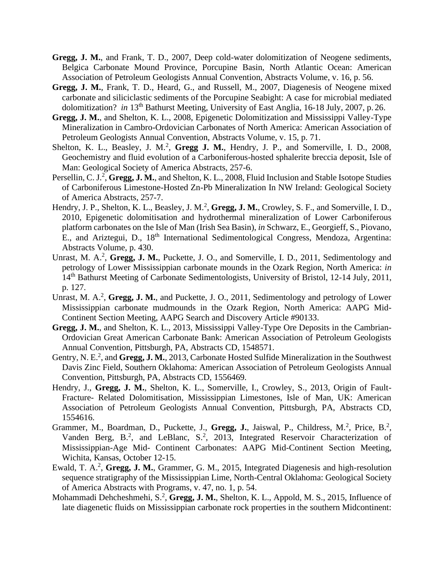- **Gregg, J. M.**, and Frank, T. D., 2007, Deep cold-water dolomitization of Neogene sediments, Belgica Carbonate Mound Province, Porcupine Basin, North Atlantic Ocean: American Association of Petroleum Geologists Annual Convention, Abstracts Volume, v. 16, p. 56.
- **Gregg, J. M.**, Frank, T. D., Heard, G., and Russell, M., 2007, Diagenesis of Neogene mixed carbonate and siliciclastic sediments of the Porcupine Seabight: A case for microbial mediated dolomitization? *in* 13<sup>th</sup> Bathurst Meeting, University of East Anglia, 16-18 July, 2007, p. 26.
- **Gregg, J. M.**, and Shelton, K. L., 2008, Epigenetic Dolomitization and Mississippi Valley-Type Mineralization in Cambro-Ordovician Carbonates of North America: American Association of Petroleum Geologists Annual Convention, Abstracts Volume, v. 15, p. 71.
- Shelton, K. L., Beasley, J. M.<sup>2</sup>, Gregg J. M., Hendry, J. P., and Somerville, I. D., 2008, Geochemistry and fluid evolution of a Carboniferous-hosted sphalerite breccia deposit, Isle of Man: Geological Society of America Abstracts, 257-6.
- Persellin, C. J.<sup>2</sup>, Gregg, J. M., and Shelton, K. L., 2008, Fluid Inclusion and Stable Isotope Studies of Carboniferous Limestone-Hosted Zn-Pb Mineralization In NW Ireland: Geological Society of America Abstracts, 257-7.
- Hendry, J. P., Shelton, K. L., Beasley, J. M.<sup>2</sup>, Gregg, J. M., Crowley, S. F., and Somerville, I. D., 2010, Epigenetic dolomitisation and hydrothermal mineralization of Lower Carboniferous platform carbonates on the Isle of Man (Irish Sea Basin), *in* Schwarz, E., Georgieff, S., Piovano, E., and Ariztegui, D., 18th International Sedimentological Congress, Mendoza, Argentina: Abstracts Volume, p. 430.
- Unrast, M. A.<sup>2</sup>, Gregg, J. M., Puckette, J. O., and Somerville, I. D., 2011, Sedimentology and petrology of Lower Mississippian carbonate mounds in the Ozark Region, North America: *in*  14<sup>th</sup> Bathurst Meeting of Carbonate Sedimentologists, University of Bristol, 12-14 July, 2011, p. 127.
- Unrast, M. A.<sup>2</sup>, Gregg, J. M., and Puckette, J. O., 2011, Sedimentology and petrology of Lower Mississippian carbonate mudmounds in the Ozark Region, North America: AAPG Mid-Continent Section Meeting, AAPG Search and Discovery Article #90133.
- **Gregg, J. M.**, and Shelton, K. L., 2013, Mississippi Valley-Type Ore Deposits in the Cambrian-Ordovician Great American Carbonate Bank: American Association of Petroleum Geologists Annual Convention, Pittsburgh, PA, Abstracts CD, 1548571.
- Gentry, N. E.<sup>2</sup>, and Gregg, J. M., 2013, Carbonate Hosted Sulfide Mineralization in the Southwest Davis Zinc Field, Southern Oklahoma: American Association of Petroleum Geologists Annual Convention, Pittsburgh, PA, Abstracts CD, 1556469.
- Hendry, J., **Gregg, J. M.**, Shelton, K. L., Somerville, I., Crowley, S., 2013, Origin of Fault-Fracture- Related Dolomitisation, Mississippian Limestones, Isle of Man, UK: American Association of Petroleum Geologists Annual Convention, Pittsburgh, PA, Abstracts CD, 1554616.
- Grammer, M., Boardman, D., Puckette, J., Gregg, J., Jaiswal, P., Childress, M.<sup>2</sup>, Price, B.<sup>2</sup>, Vanden Berg, B.<sup>2</sup>, and LeBlanc, S.<sup>2</sup>, 2013, Integrated Reservoir Characterization of Mississippian-Age Mid- Continent Carbonates: AAPG Mid-Continent Section Meeting, Wichita, Kansas, October 12-15.
- Ewald, T. A.<sup>2</sup>, Gregg, J. M., Grammer, G. M., 2015, Integrated Diagenesis and high-resolution sequence stratigraphy of the Mississippian Lime, North-Central Oklahoma: Geological Society of America Abstracts with Programs, v. 47, no. 1, p. 54.
- Mohammadi Dehcheshmehi, S.<sup>2</sup>, Gregg, J. M., Shelton, K. L., Appold, M. S., 2015, Influence of late diagenetic fluids on Mississippian carbonate rock properties in the southern Midcontinent: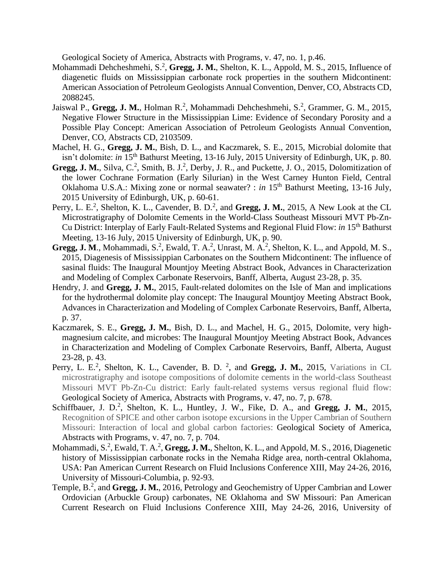Geological Society of America, Abstracts with Programs, v. 47, no. 1, p.46.

- Mohammadi Dehcheshmehi, S.<sup>2</sup>, Gregg, J. M., Shelton, K. L., Appold, M. S., 2015, Influence of diagenetic fluids on Mississippian carbonate rock properties in the southern Midcontinent: American Association of Petroleum Geologists Annual Convention, Denver, CO, Abstracts CD, 2088245.
- Jaiswal P., Gregg, J. M., Holman R.<sup>2</sup>, Mohammadi Dehcheshmehi, S.<sup>2</sup>, Grammer, G. M., 2015, Negative Flower Structure in the Mississippian Lime: Evidence of Secondary Porosity and a Possible Play Concept: American Association of Petroleum Geologists Annual Convention, Denver, CO, Abstracts CD, 2103509.
- Machel, H. G., **Gregg, J. M.**, Bish, D. L., and Kaczmarek, S. E., 2015, Microbial dolomite that isn't dolomite: *in* 15th Bathurst Meeting, 13-16 July, 2015 University of Edinburgh, UK, p. 80.
- Gregg, J. M., Silva, C.<sup>2</sup>, Smith, B. J.<sup>2</sup>, Derby, J. R., and Puckette, J. O., 2015, Dolomitization of the lower Cochrane Formation (Early Silurian) in the West Carney Hunton Field, Central Oklahoma U.S.A.: Mixing zone or normal seawater? : *in* 15<sup>th</sup> Bathurst Meeting, 13-16 July, 2015 University of Edinburgh, UK, p. 60-61.
- Perry, L. E.<sup>2</sup>, Shelton, K. L., Cavender, B. D.<sup>2</sup>, and Gregg, J. M., 2015, A New Look at the CL Microstratigraphy of Dolomite Cements in the World-Class Southeast Missouri MVT Pb-Zn-Cu District: Interplay of Early Fault-Related Systems and Regional Fluid Flow: *in* 15th Bathurst Meeting, 13-16 July, 2015 University of Edinburgh, UK, p. 90.
- Gregg, J. M., Mohammadi, S.<sup>2</sup>, Ewald, T. A.<sup>2</sup>, Unrast, M. A.<sup>2</sup>, Shelton, K. L., and Appold, M. S., 2015, Diagenesis of Mississippian Carbonates on the Southern Midcontinent: The influence of sasinal fluids: The Inaugural Mountjoy Meeting Abstract Book, Advances in Characterization and Modeling of Complex Carbonate Reservoirs, Banff, Alberta, August 23-28, p. 35.
- Hendry, J. and **Gregg, J. M.**, 2015, Fault-related dolomites on the Isle of Man and implications for the hydrothermal dolomite play concept: The Inaugural Mountjoy Meeting Abstract Book, Advances in Characterization and Modeling of Complex Carbonate Reservoirs, Banff, Alberta, p. 37.
- Kaczmarek, S. E., **Gregg, J. M.**, Bish, D. L., and Machel, H. G., 2015, Dolomite, very highmagnesium calcite, and microbes: The Inaugural Mountjoy Meeting Abstract Book, Advances in Characterization and Modeling of Complex Carbonate Reservoirs, Banff, Alberta, August 23-28, p. 43.
- Perry, L. E.<sup>2</sup>, Shelton, K. L., Cavender, B. D.<sup>2</sup>, and Gregg, J. M., 2015, Variations in CL microstratigraphy and isotope compositions of dolomite cements in the world-class Southeast Missouri MVT Pb-Zn-Cu district: Early fault-related systems versus regional fluid flow: Geological Society of America, Abstracts with Programs, v. 47, no. 7, p. 678.
- Schiffbauer, J. D.<sup>2</sup>, Shelton, K. L., Huntley, J. W., Fike, D. A., and Gregg, J. M., 2015, Recognition of SPICE and other carbon isotope excursions in the Upper Cambrian of Southern Missouri: Interaction of local and global carbon factories: Geological Society of America, Abstracts with Programs, v. 47, no. 7, p. 704.
- Mohammadi, S.<sup>2</sup>, Ewald, T. A.<sup>2</sup>, Gregg, J. M., Shelton, K. L., and Appold, M. S., 2016, Diagenetic history of Mississippian carbonate rocks in the Nemaha Ridge area, north-central Oklahoma, USA: Pan American Current Research on Fluid Inclusions Conference XIII, May 24-26, 2016, University of Missouri-Columbia, p. 92-93.
- Temple, B.<sup>2</sup>, and Gregg, J. M., 2016, Petrology and Geochemistry of Upper Cambrian and Lower Ordovician (Arbuckle Group) carbonates, NE Oklahoma and SW Missouri: Pan American Current Research on Fluid Inclusions Conference XIII, May 24-26, 2016, University of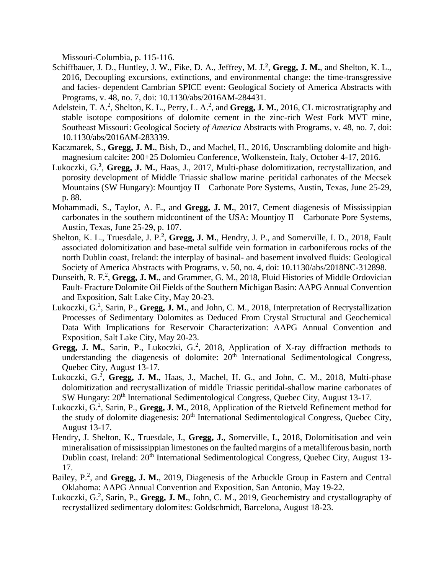Missouri-Columbia, p. 115-116.

- Schiffbauer, J. D., Huntley, J. W., Fike, D. A., Jeffrey, M. J.<sup>2</sup>, Gregg, J. M., and Shelton, K. L., 2016, Decoupling excursions, extinctions, and environmental change: the time-transgressive and facies- dependent Cambrian SPICE event: Geological Society of America Abstracts with Programs, v. 48, no. 7, doi: 10.1130/abs/2016AM-284431.
- Adelstein, T. A.<sup>2</sup>, Shelton, K. L., Perry, L. A.<sup>2</sup>, and Gregg, J. M., 2016, CL microstratigraphy and stable isotope compositions of dolomite cement in the zinc-rich West Fork MVT mine, Southeast Missouri: Geological Society *of America* Abstracts with Programs, v. 48, no. 7, doi: 10.1130/abs/2016AM-283339.
- Kaczmarek, S., **Gregg, J. M.**, Bish, D., and Machel, H., 2016, Unscrambling dolomite and highmagnesium calcite: 200+25 Dolomieu Conference, Wolkenstein, Italy, October 4-17, 2016.
- Lukoczki, G.<sup>2</sup>, Gregg, J. M., Haas, J., 2017, Multi-phase dolomitization, recrystallization, and porosity development of Middle Triassic shallow marine–peritidal carbonates of the Mecsek Mountains (SW Hungary): Mountjoy II – Carbonate Pore Systems, Austin, Texas, June 25-29, p. 88.
- Mohammadi, S., Taylor, A. E., and **Gregg, J. M.**, 2017, Cement diagenesis of Mississippian carbonates in the southern midcontinent of the USA: Mountjoy II – Carbonate Pore Systems, Austin, Texas, June 25-29, p. 107.
- Shelton, K. L., Truesdale, J. P.<sup>2</sup>, Gregg, J. M., Hendry, J. P., and Somerville, I. D., 2018, Fault associated dolomitization and base-metal sulfide vein formation in carboniferous rocks of the north Dublin coast, Ireland: the interplay of basinal- and basement involved fluids: Geological Society of America Abstracts with Programs, v. 50, no. 4, doi: 10.1130/abs/2018NC-312898.
- Dunseith, R. F.<sup>2</sup>, Gregg, J. M., and Grammer, G. M., 2018, Fluid Histories of Middle Ordovician Fault- Fracture Dolomite Oil Fields of the Southern Michigan Basin: AAPG Annual Convention and Exposition, Salt Lake City, May 20-23.
- Lukoczki, G.<sup>2</sup>, Sarin, P., Gregg, J. M., and John, C. M., 2018, Interpretation of Recrystallization Processes of Sedimentary Dolomites as Deduced From Crystal Structural and Geochemical Data With Implications for Reservoir Characterization: AAPG Annual Convention and Exposition, Salt Lake City, May 20-23.
- Gregg, J. M., Sarin, P., Lukoczki, G.<sup>2</sup>, 2018, Application of X-ray diffraction methods to understanding the diagenesis of dolomite:  $20<sup>th</sup>$  International Sedimentological Congress, Quebec City, August 13-17.
- Lukoczki, G.<sup>2</sup>, Gregg, J. M., Haas, J., Machel, H. G., and John, C. M., 2018, Multi-phase dolomitization and recrystallization of middle Triassic peritidal-shallow marine carbonates of SW Hungary: 20<sup>th</sup> International Sedimentological Congress, Quebec City, August 13-17.
- Lukoczki, G.<sup>2</sup>, Sarin, P., Gregg, J. M., 2018, Application of the Rietveld Refinement method for the study of dolomite diagenesis: 20<sup>th</sup> International Sedimentological Congress, Quebec City, August 13-17.
- Hendry, J. Shelton, K., Truesdale, J., **Gregg, J.**, Somerville, I., 2018, Dolomitisation and vein mineralisation of mississippian limestones on the faulted margins of a metalliferous basin, north Dublin coast, Ireland: 20<sup>th</sup> International Sedimentological Congress, Quebec City, August 13-17.
- Bailey, P.<sup>2</sup>, and Gregg, J. M., 2019, Diagenesis of the Arbuckle Group in Eastern and Central Oklahoma: AAPG Annual Convention and Exposition, San Antonio, May 19-22.
- Lukoczki, G.<sup>2</sup>, Sarin, P., Gregg, J. M., John, C. M., 2019, Geochemistry and crystallography of recrystallized sedimentary dolomites: Goldschmidt, Barcelona, August 18-23.